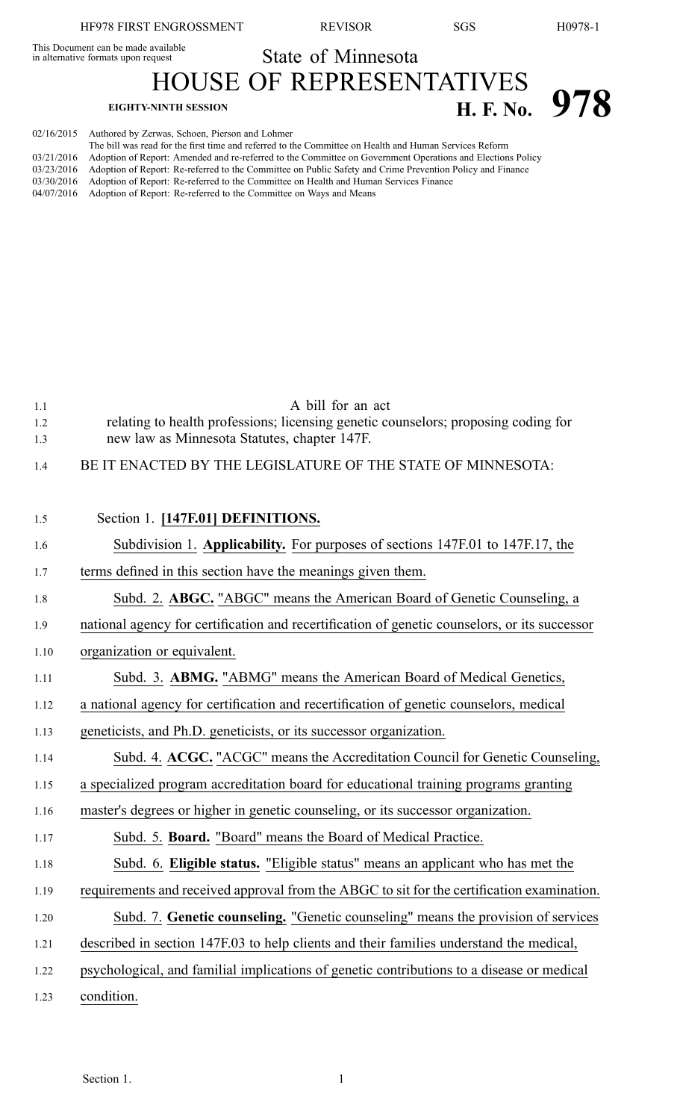This Document can be made available

State of Minnesota

HOUSE OF REPRESENTATIVES **EIGHTY-NINTH SESSION H. F. No. 978** 

| 02/16/2015 Authored by Zerwas, Schoen, Pierson and Lohmer                                                  |
|------------------------------------------------------------------------------------------------------------|
| The bill was read for the first time and referred to the Committee on Health and Human Services Reform     |
| Adoption of Report: Amended and re-referred to the Committee on Government Operations and Elections Policy |
| Adoption of Report: Re-referred to the Committee on Public Safety and Crime Prevention Policy and Finance  |
| Adoption of Report: Re-referred to the Committee on Health and Human Services Finance                      |
| Adoption of Report: Re-referred to the Committee on Ways and Means                                         |
|                                                                                                            |

| 1.1  | A bill for an act                                                                             |
|------|-----------------------------------------------------------------------------------------------|
| 1.2  | relating to health professions; licensing genetic counselors; proposing coding for            |
| 1.3  | new law as Minnesota Statutes, chapter 147F.                                                  |
| 1.4  | BE IT ENACTED BY THE LEGISLATURE OF THE STATE OF MINNESOTA:                                   |
|      |                                                                                               |
| 1.5  | Section 1. [147F.01] DEFINITIONS.                                                             |
| 1.6  | Subdivision 1. Applicability. For purposes of sections 147F.01 to 147F.17, the                |
| 1.7  | terms defined in this section have the meanings given them.                                   |
| 1.8  | Subd. 2. ABGC. "ABGC" means the American Board of Genetic Counseling, a                       |
| 1.9  | national agency for certification and recertification of genetic counselors, or its successor |
| 1.10 | organization or equivalent.                                                                   |
| 1.11 | Subd. 3. ABMG. "ABMG" means the American Board of Medical Genetics,                           |
| 1.12 | a national agency for certification and recertification of genetic counselors, medical        |
| 1.13 | geneticists, and Ph.D. geneticists, or its successor organization.                            |
| 1.14 | Subd. 4. ACGC. "ACGC" means the Accreditation Council for Genetic Counseling,                 |
| 1.15 | a specialized program accreditation board for educational training programs granting          |
| 1.16 | master's degrees or higher in genetic counseling, or its successor organization.              |
| 1.17 | Subd. 5. Board. "Board" means the Board of Medical Practice.                                  |
| 1.18 | Subd. 6. Eligible status. "Eligible status" means an applicant who has met the                |
| 1.19 | requirements and received approval from the ABGC to sit for the certification examination.    |
| 1.20 | Subd. 7. Genetic counseling. "Genetic counseling" means the provision of services             |
| 1.21 | described in section 147F.03 to help clients and their families understand the medical,       |
| 1.22 | psychological, and familial implications of genetic contributions to a disease or medical     |
| 1.23 | condition.                                                                                    |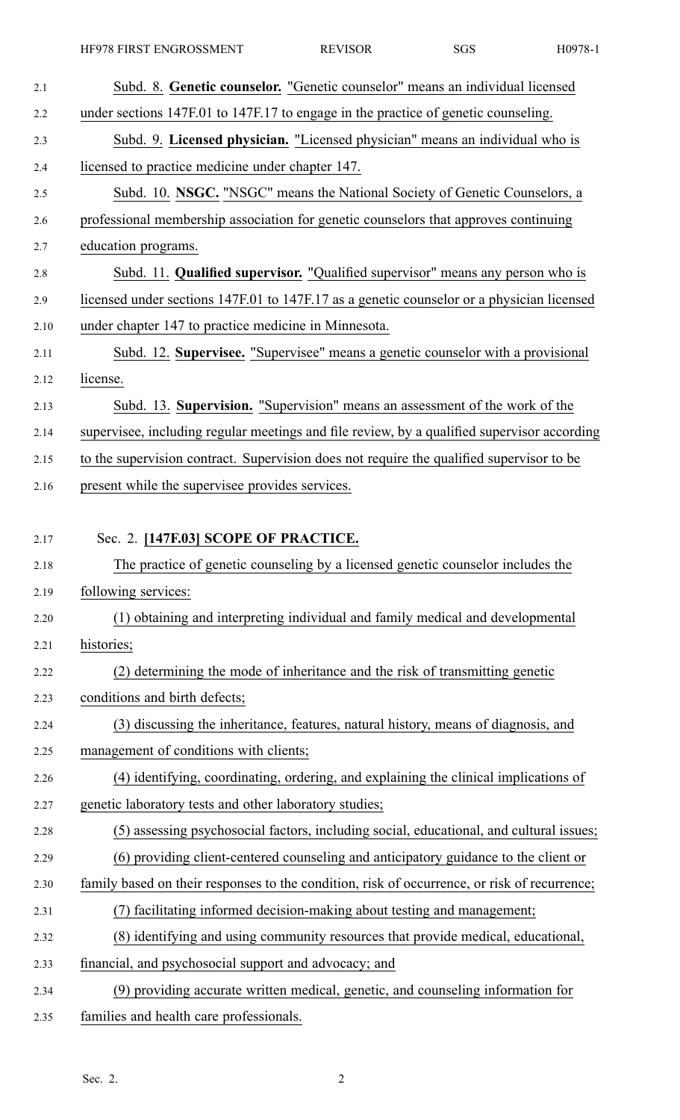HF978 FIRST ENGROSSMENT REVISOR SGS H0978-1

| 2.1  | Subd. 8. Genetic counselor. "Genetic counselor" means an individual licensed                 |
|------|----------------------------------------------------------------------------------------------|
| 2.2  | under sections 147F.01 to 147F.17 to engage in the practice of genetic counseling.           |
| 2.3  | Subd. 9. Licensed physician. "Licensed physician" means an individual who is                 |
| 2.4  | licensed to practice medicine under chapter 147.                                             |
| 2.5  | Subd. 10. NSGC. "NSGC" means the National Society of Genetic Counselors, a                   |
| 2.6  | professional membership association for genetic counselors that approves continuing          |
| 2.7  | education programs.                                                                          |
| 2.8  | Subd. 11. Qualified supervisor. "Qualified supervisor" means any person who is               |
| 2.9  | licensed under sections 147F.01 to 147F.17 as a genetic counselor or a physician licensed    |
| 2.10 | under chapter 147 to practice medicine in Minnesota.                                         |
| 2.11 | Subd. 12. Supervisee. "Supervisee" means a genetic counselor with a provisional              |
| 2.12 | license.                                                                                     |
| 2.13 | Subd. 13. Supervision. "Supervision" means an assessment of the work of the                  |
| 2.14 | supervisee, including regular meetings and file review, by a qualified supervisor according  |
| 2.15 | to the supervision contract. Supervision does not require the qualified supervisor to be     |
| 2.16 | present while the supervisee provides services.                                              |
|      |                                                                                              |
| 2.17 | Sec. 2. [147F.03] SCOPE OF PRACTICE.                                                         |
| 2.18 | The practice of genetic counseling by a licensed genetic counselor includes the              |
| 2.19 | following services:                                                                          |
| 2.20 | (1) obtaining and interpreting individual and family medical and developmental               |
| 2.21 | histories;                                                                                   |
| 2.22 | (2) determining the mode of inheritance and the risk of transmitting genetic                 |
| 2.23 | conditions and birth defects;                                                                |
| 2.24 | (3) discussing the inheritance, features, natural history, means of diagnosis, and           |
| 2.25 | management of conditions with clients;                                                       |
| 2.26 | (4) identifying, coordinating, ordering, and explaining the clinical implications of         |
| 2.27 | genetic laboratory tests and other laboratory studies;                                       |
| 2.28 | (5) assessing psychosocial factors, including social, educational, and cultural issues;      |
| 2.29 | (6) providing client-centered counseling and anticipatory guidance to the client or          |
| 2.30 | family based on their responses to the condition, risk of occurrence, or risk of recurrence; |
| 2.31 | (7) facilitating informed decision-making about testing and management;                      |
| 2.32 | (8) identifying and using community resources that provide medical, educational,             |
| 2.33 | financial, and psychosocial support and advocacy; and                                        |
| 2.34 | (9) providing accurate written medical, genetic, and counseling information for              |
| 2.35 | families and health care professionals.                                                      |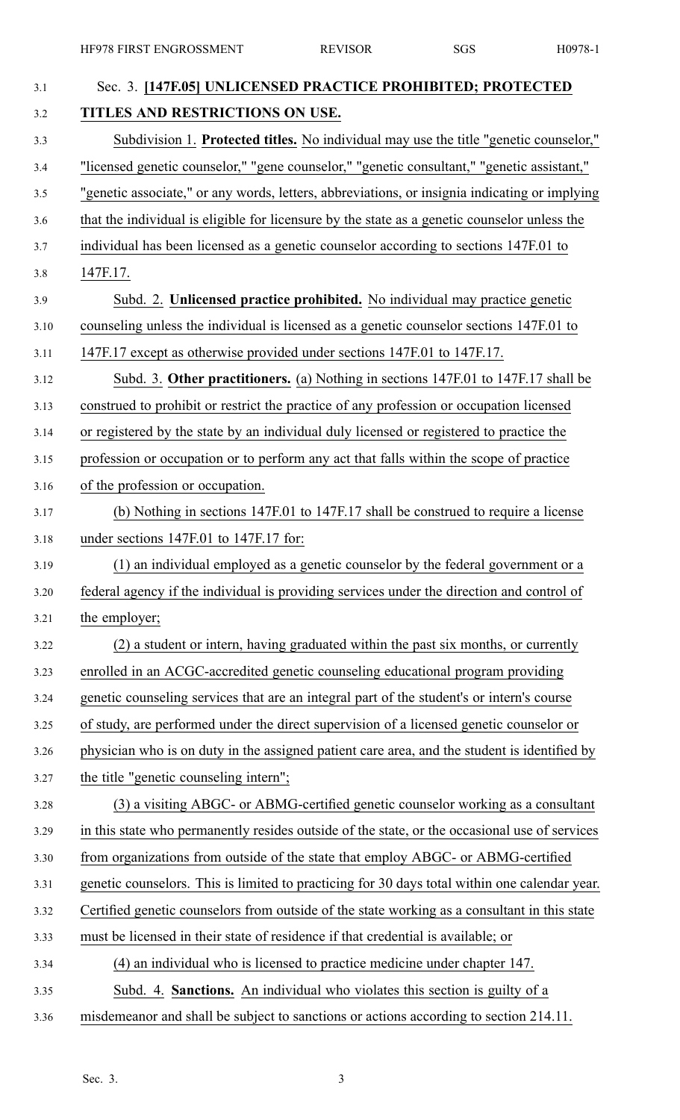| 3.1  | Sec. 3. [147F.05] UNLICENSED PRACTICE PROHIBITED; PROTECTED                                   |
|------|-----------------------------------------------------------------------------------------------|
| 3.2  | TITLES AND RESTRICTIONS ON USE.                                                               |
| 3.3  | Subdivision 1. Protected titles. No individual may use the title "genetic counselor,"         |
| 3.4  | "licensed genetic counselor," "gene counselor," "genetic consultant," "genetic assistant,"    |
| 3.5  | "genetic associate," or any words, letters, abbreviations, or insignia indicating or implying |
| 3.6  | that the individual is eligible for licensure by the state as a genetic counselor unless the  |
| 3.7  | individual has been licensed as a genetic counselor according to sections 147F.01 to          |
| 3.8  | 147F.17.                                                                                      |
| 3.9  | Subd. 2. Unlicensed practice prohibited. No individual may practice genetic                   |
| 3.10 | counseling unless the individual is licensed as a genetic counselor sections 147F.01 to       |
| 3.11 | 147F.17 except as otherwise provided under sections 147F.01 to 147F.17.                       |
| 3.12 | Subd. 3. Other practitioners. (a) Nothing in sections 147F.01 to 147F.17 shall be             |
| 3.13 | construed to prohibit or restrict the practice of any profession or occupation licensed       |
| 3.14 | or registered by the state by an individual duly licensed or registered to practice the       |
| 3.15 | profession or occupation or to perform any act that falls within the scope of practice        |
| 3.16 | of the profession or occupation.                                                              |
| 3.17 | (b) Nothing in sections 147F.01 to 147F.17 shall be construed to require a license            |
| 3.18 | under sections 147F.01 to 147F.17 for:                                                        |
| 3.19 | (1) an individual employed as a genetic counselor by the federal government or a              |
| 3.20 | federal agency if the individual is providing services under the direction and control of     |
| 3.21 | the employer;                                                                                 |
| 3.22 | (2) a student or intern, having graduated within the past six months, or currently            |
| 3.23 | enrolled in an ACGC-accredited genetic counseling educational program providing               |
| 3.24 | genetic counseling services that are an integral part of the student's or intern's course     |
| 3.25 | of study, are performed under the direct supervision of a licensed genetic counselor or       |
| 3.26 | physician who is on duty in the assigned patient care area, and the student is identified by  |
| 3.27 | the title "genetic counseling intern";                                                        |
| 3.28 | (3) a visiting ABGC- or ABMG-certified genetic counselor working as a consultant              |
| 3.29 | in this state who permanently resides outside of the state, or the occasional use of services |
| 3.30 | from organizations from outside of the state that employ ABGC- or ABMG-certified              |
| 3.31 | genetic counselors. This is limited to practicing for 30 days total within one calendar year. |
| 3.32 | Certified genetic counselors from outside of the state working as a consultant in this state  |
| 3.33 | must be licensed in their state of residence if that credential is available; or              |
| 3.34 | (4) an individual who is licensed to practice medicine under chapter 147.                     |
| 3.35 | Subd. 4. Sanctions. An individual who violates this section is guilty of a                    |
| 3.36 | misdemeanor and shall be subject to sanctions or actions according to section 214.11.         |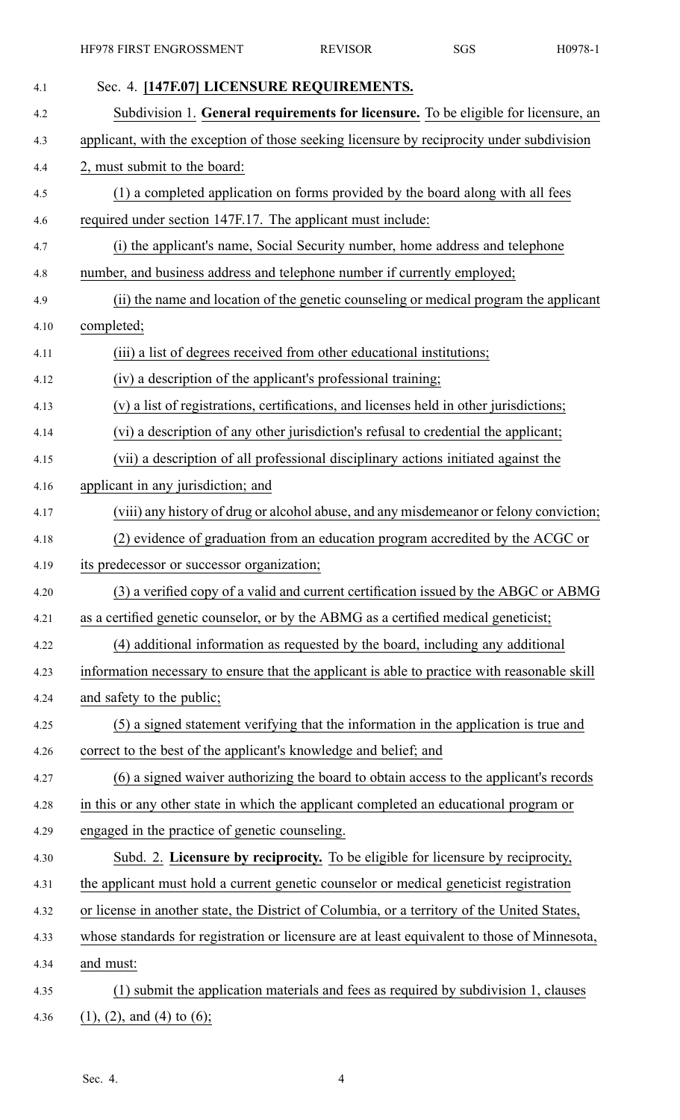| 4.1  | Sec. 4. [147F.07] LICENSURE REQUIREMENTS.                                                    |
|------|----------------------------------------------------------------------------------------------|
| 4.2  | Subdivision 1. General requirements for licensure. To be eligible for licensure, an          |
| 4.3  | applicant, with the exception of those seeking licensure by reciprocity under subdivision    |
| 4.4  | 2, must submit to the board:                                                                 |
| 4.5  | (1) a completed application on forms provided by the board along with all fees               |
| 4.6  | required under section 147F.17. The applicant must include:                                  |
| 4.7  | (i) the applicant's name, Social Security number, home address and telephone                 |
| 4.8  | number, and business address and telephone number if currently employed;                     |
| 4.9  | (ii) the name and location of the genetic counseling or medical program the applicant        |
| 4.10 | completed;                                                                                   |
| 4.11 | (iii) a list of degrees received from other educational institutions;                        |
| 4.12 | (iv) a description of the applicant's professional training;                                 |
| 4.13 | (v) a list of registrations, certifications, and licenses held in other jurisdictions;       |
| 4.14 | (vi) a description of any other jurisdiction's refusal to credential the applicant;          |
| 4.15 | (vii) a description of all professional disciplinary actions initiated against the           |
| 4.16 | applicant in any jurisdiction; and                                                           |
| 4.17 | (viii) any history of drug or alcohol abuse, and any misdemeanor or felony conviction;       |
| 4.18 | (2) evidence of graduation from an education program accredited by the ACGC or               |
| 4.19 | its predecessor or successor organization;                                                   |
| 4.20 | (3) a verified copy of a valid and current certification issued by the ABGC or ABMG          |
| 4.21 | as a certified genetic counselor, or by the ABMG as a certified medical geneticist;          |
| 4.22 | (4) additional information as requested by the board, including any additional               |
| 4.23 | information necessary to ensure that the applicant is able to practice with reasonable skill |
| 4.24 | and safety to the public;                                                                    |
| 4.25 | (5) a signed statement verifying that the information in the application is true and         |
| 4.26 | correct to the best of the applicant's knowledge and belief; and                             |
| 4.27 | (6) a signed waiver authorizing the board to obtain access to the applicant's records        |
| 4.28 | in this or any other state in which the applicant completed an educational program or        |
| 4.29 | engaged in the practice of genetic counseling.                                               |
| 4.30 | Subd. 2. Licensure by reciprocity. To be eligible for licensure by reciprocity,              |
| 4.31 | the applicant must hold a current genetic counselor or medical geneticist registration       |
| 4.32 | or license in another state, the District of Columbia, or a territory of the United States,  |
| 4.33 | whose standards for registration or licensure are at least equivalent to those of Minnesota, |
| 4.34 | and must:                                                                                    |
| 4.35 | (1) submit the application materials and fees as required by subdivision 1, clauses          |
| 4.36 | $(1)$ , $(2)$ , and $(4)$ to $(6)$ ;                                                         |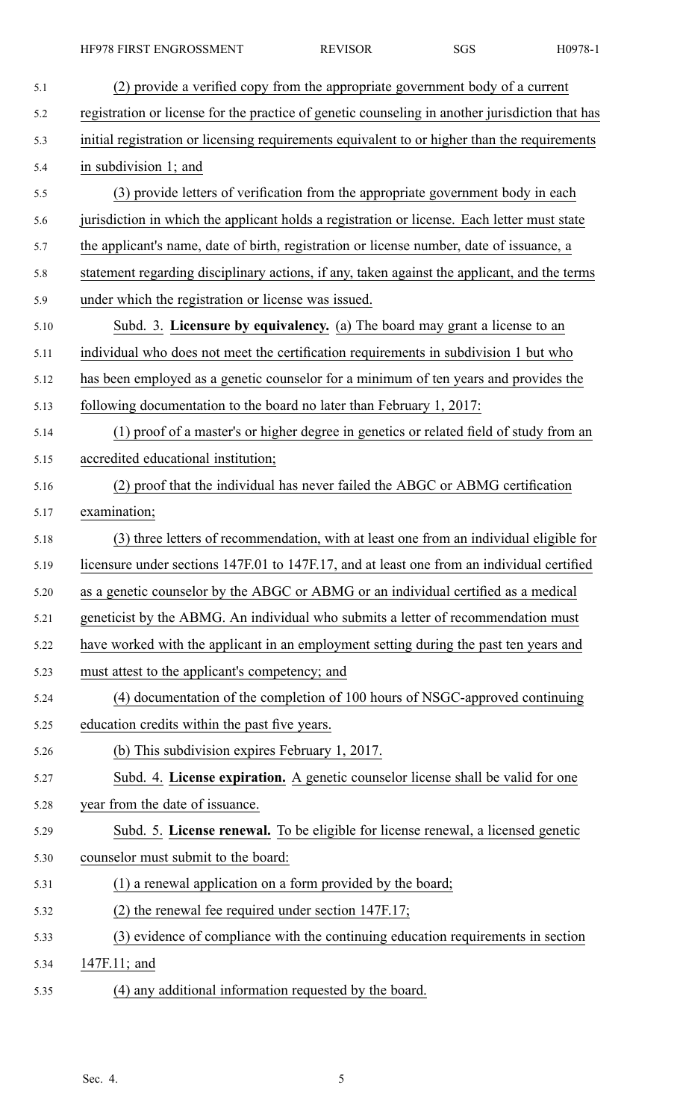| 5.1  | (2) provide a verified copy from the appropriate government body of a current                   |
|------|-------------------------------------------------------------------------------------------------|
| 5.2  | registration or license for the practice of genetic counseling in another jurisdiction that has |
| 5.3  | initial registration or licensing requirements equivalent to or higher than the requirements    |
| 5.4  | in subdivision 1; and                                                                           |
| 5.5  | (3) provide letters of verification from the appropriate government body in each                |
| 5.6  | jurisdiction in which the applicant holds a registration or license. Each letter must state     |
| 5.7  | the applicant's name, date of birth, registration or license number, date of issuance, a        |
| 5.8  | statement regarding disciplinary actions, if any, taken against the applicant, and the terms    |
| 5.9  | under which the registration or license was issued.                                             |
| 5.10 | Subd. 3. Licensure by equivalency. (a) The board may grant a license to an                      |
| 5.11 | individual who does not meet the certification requirements in subdivision 1 but who            |
| 5.12 | has been employed as a genetic counselor for a minimum of ten years and provides the            |
| 5.13 | following documentation to the board no later than February 1, 2017:                            |
| 5.14 | (1) proof of a master's or higher degree in genetics or related field of study from an          |
| 5.15 | accredited educational institution;                                                             |
| 5.16 | (2) proof that the individual has never failed the ABGC or ABMG certification                   |
| 5.17 | examination;                                                                                    |
| 5.18 | (3) three letters of recommendation, with at least one from an individual eligible for          |
| 5.19 | licensure under sections 147F.01 to 147F.17, and at least one from an individual certified      |
| 5.20 | as a genetic counselor by the ABGC or ABMG or an individual certified as a medical              |
| 5.21 | geneticist by the ABMG. An individual who submits a letter of recommendation must               |
| 5.22 | have worked with the applicant in an employment setting during the past ten years and           |
| 5.23 | must attest to the applicant's competency; and                                                  |
| 5.24 | (4) documentation of the completion of 100 hours of NSGC-approved continuing                    |
| 5.25 | education credits within the past five years.                                                   |
| 5.26 | (b) This subdivision expires February 1, 2017.                                                  |
| 5.27 | Subd. 4. License expiration. A genetic counselor license shall be valid for one                 |
| 5.28 | year from the date of issuance.                                                                 |
| 5.29 | Subd. 5. License renewal. To be eligible for license renewal, a licensed genetic                |
| 5.30 | counselor must submit to the board:                                                             |
| 5.31 | (1) a renewal application on a form provided by the board;                                      |
| 5.32 | $(2)$ the renewal fee required under section 147F.17;                                           |
| 5.33 | (3) evidence of compliance with the continuing education requirements in section                |
| 5.34 | $147F.11$ ; and                                                                                 |
| 5.35 | (4) any additional information requested by the board.                                          |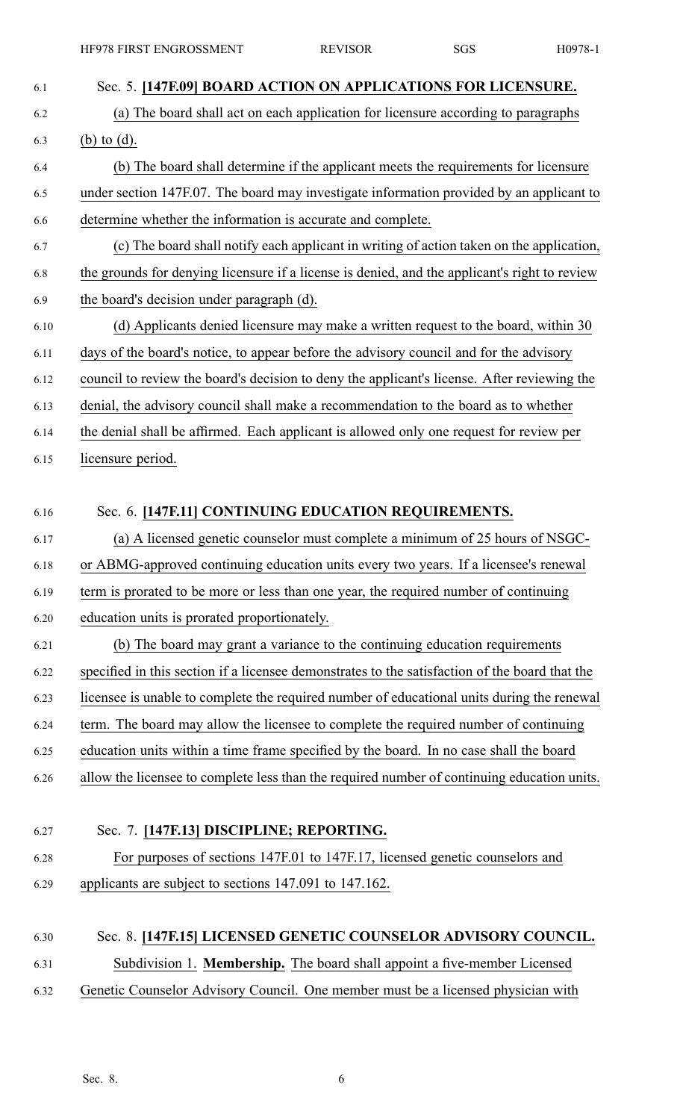6.1 Sec. 5. **[147F.09] BOARD ACTION ON APPLICATIONS FOR LICENSURE.** 6.2 (a) The board shall act on each application for licensure according to paragraphs 6.3 (b) to (d). 6.4 (b) The board shall determine if the applicant meets the requirements for licensure 6.5 under section 147F.07. The board may investigate information provided by an applicant to 6.6 determine whether the information is accurate and complete. 6.7 (c) The board shall notify each applicant in writing of action taken on the application, 6.8 the grounds for denying licensure if <sup>a</sup> license is denied, and the applicant's right to review 6.9 the board's decision under paragraph (d). 6.10 (d) Applicants denied licensure may make <sup>a</sup> written reques<sup>t</sup> to the board, within 30 6.11 days of the board's notice, to appear before the advisory council and for the advisory 6.12 council to review the board's decision to deny the applicant's license. After reviewing the 6.13 denial, the advisory council shall make <sup>a</sup> recommendation to the board as to whether 6.14 the denial shall be affirmed. Each applicant is allowed only one reques<sup>t</sup> for review per 6.15 licensure period. 6.16 Sec. 6. **[147F.11] CONTINUING EDUCATION REQUIREMENTS.** 6.17 (a) A licensed genetic counselor must complete <sup>a</sup> minimum of 25 hours of NSGC-6.18 or ABMG-approved continuing education units every two years. If <sup>a</sup> licensee's renewal 6.19 term is prorated to be more or less than one year, the required number of continuing 6.20 education units is prorated proportionately. 6.21 (b) The board may gran<sup>t</sup> <sup>a</sup> variance to the continuing education requirements 6.22 specified in this section if <sup>a</sup> licensee demonstrates to the satisfaction of the board that the 6.23 licensee is unable to complete the required number of educational units during the renewal 6.24 term. The board may allow the licensee to complete the required number of continuing 6.25 education units within <sup>a</sup> time frame specified by the board. In no case shall the board 6.26 allow the licensee to complete less than the required number of continuing education units. 6.27 Sec. 7. **[147F.13] DISCIPLINE; REPORTING.** 6.28 For purposes of sections 147F.01 to 147F.17, licensed genetic counselors and 6.29 applicants are subject to sections 147.091 to 147.162. 6.30 Sec. 8. **[147F.15] LICENSED GENETIC COUNSELOR ADVISORY COUNCIL.** 6.31 Subdivision 1. **Membership.** The board shall appoint <sup>a</sup> five-member Licensed 6.32 Genetic Counselor Advisory Council. One member must be <sup>a</sup> licensed physician with